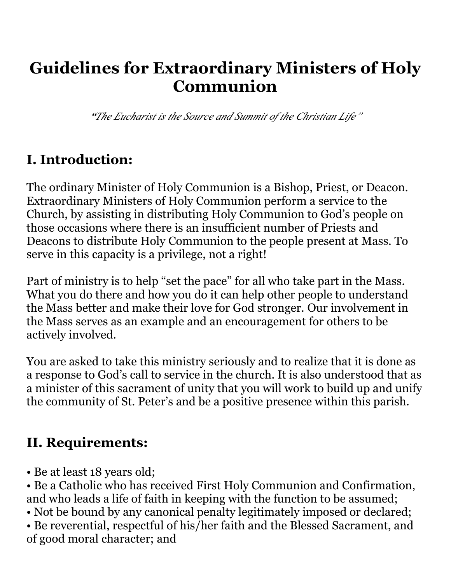# **Guidelines for Extraordinary Ministers of Holy Communion**

*"The Eucharist is the Source and Summit of the Christian Life"*

### **I. Introduction:**

The ordinary Minister of Holy Communion is a Bishop, Priest, or Deacon. Extraordinary Ministers of Holy Communion perform a service to the Church, by assisting in distributing Holy Communion to God's people on those occasions where there is an insufficient number of Priests and Deacons to distribute Holy Communion to the people present at Mass. To serve in this capacity is a privilege, not a right!

Part of ministry is to help "set the pace" for all who take part in the Mass. What you do there and how you do it can help other people to understand the Mass better and make their love for God stronger. Our involvement in the Mass serves as an example and an encouragement for others to be actively involved.

You are asked to take this ministry seriously and to realize that it is done as a response to God's call to service in the church. It is also understood that as a minister of this sacrament of unity that you will work to build up and unify the community of St. Peter's and be a positive presence within this parish.

#### **II. Requirements:**

- Be at least 18 years old;
- Be a Catholic who has received First Holy Communion and Confirmation, and who leads a life of faith in keeping with the function to be assumed;
- Not be bound by any canonical penalty legitimately imposed or declared;
- Be reverential, respectful of his/her faith and the Blessed Sacrament, and of good moral character; and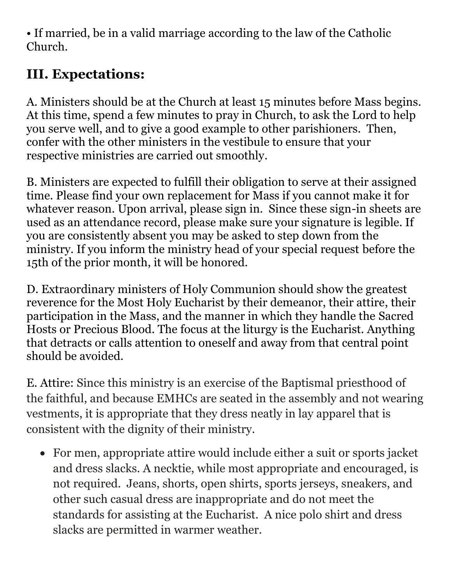• If married, be in a valid marriage according to the law of the Catholic Church.

## **III. Expectations:**

A. Ministers should be at the Church at least 15 minutes before Mass begins. At this time, spend a few minutes to pray in Church, to ask the Lord to help you serve well, and to give a good example to other parishioners. Then, confer with the other ministers in the vestibule to ensure that your respective ministries are carried out smoothly.

B. Ministers are expected to fulfill their obligation to serve at their assigned time. Please find your own replacement for Mass if you cannot make it for whatever reason. Upon arrival, please sign in. Since these sign-in sheets are used as an attendance record, please make sure your signature is legible. If you are consistently absent you may be asked to step down from the ministry. If you inform the ministry head of your special request before the 15th of the prior month, it will be honored.

D. Extraordinary ministers of Holy Communion should show the greatest reverence for the Most Holy Eucharist by their demeanor, their attire, their participation in the Mass, and the manner in which they handle the Sacred Hosts or Precious Blood. The focus at the liturgy is the Eucharist. Anything that detracts or calls attention to oneself and away from that central point should be avoided.

E. Attire: Since this ministry is an exercise of the Baptismal priesthood of the faithful, and because EMHCs are seated in the assembly and not wearing vestments, it is appropriate that they dress neatly in lay apparel that is consistent with the dignity of their ministry.

• For men, appropriate attire would include either a suit or sports jacket and dress slacks. A necktie, while most appropriate and encouraged, is not required. Jeans, shorts, open shirts, sports jerseys, sneakers, and other such casual dress are inappropriate and do not meet the standards for assisting at the Eucharist. A nice polo shirt and dress slacks are permitted in warmer weather.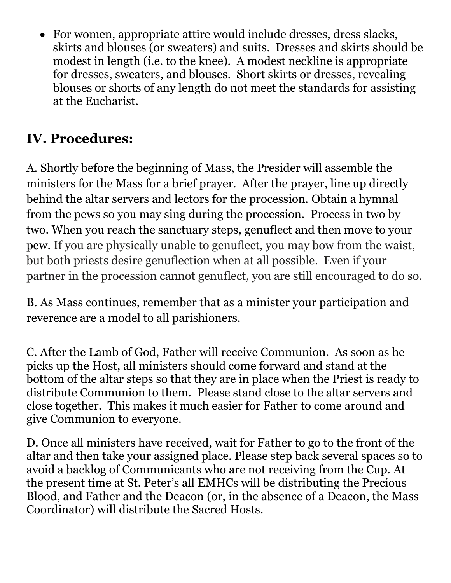• For women, appropriate attire would include dresses, dress slacks, skirts and blouses (or sweaters) and suits. Dresses and skirts should be modest in length (i.e. to the knee). A modest neckline is appropriate for dresses, sweaters, and blouses. Short skirts or dresses, revealing blouses or shorts of any length do not meet the standards for assisting at the Eucharist.

## **IV. Procedures:**

A. Shortly before the beginning of Mass, the Presider will assemble the ministers for the Mass for a brief prayer. After the prayer, line up directly behind the altar servers and lectors for the procession. Obtain a hymnal from the pews so you may sing during the procession. Process in two by two. When you reach the sanctuary steps, genuflect and then move to your pew. If you are physically unable to genuflect, you may bow from the waist, but both priests desire genuflection when at all possible. Even if your partner in the procession cannot genuflect, you are still encouraged to do so.

B. As Mass continues, remember that as a minister your participation and reverence are a model to all parishioners.

C. After the Lamb of God, Father will receive Communion. As soon as he picks up the Host, all ministers should come forward and stand at the bottom of the altar steps so that they are in place when the Priest is ready to distribute Communion to them. Please stand close to the altar servers and close together. This makes it much easier for Father to come around and give Communion to everyone.

D. Once all ministers have received, wait for Father to go to the front of the altar and then take your assigned place. Please step back several spaces so to avoid a backlog of Communicants who are not receiving from the Cup. At the present time at St. Peter's all EMHCs will be distributing the Precious Blood, and Father and the Deacon (or, in the absence of a Deacon, the Mass Coordinator) will distribute the Sacred Hosts.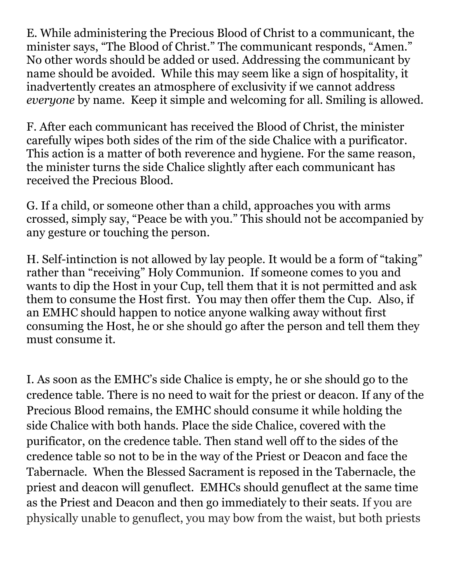E. While administering the Precious Blood of Christ to a communicant, the minister says, "The Blood of Christ." The communicant responds, "Amen." No other words should be added or used. Addressing the communicant by name should be avoided. While this may seem like a sign of hospitality, it inadvertently creates an atmosphere of exclusivity if we cannot address *everyone* by name. Keep it simple and welcoming for all. Smiling is allowed.

F. After each communicant has received the Blood of Christ, the minister carefully wipes both sides of the rim of the side Chalice with a purificator. This action is a matter of both reverence and hygiene. For the same reason, the minister turns the side Chalice slightly after each communicant has received the Precious Blood.

G. If a child, or someone other than a child, approaches you with arms crossed, simply say, "Peace be with you." This should not be accompanied by any gesture or touching the person.

H. Self-intinction is not allowed by lay people. It would be a form of "taking" rather than "receiving" Holy Communion. If someone comes to you and wants to dip the Host in your Cup, tell them that it is not permitted and ask them to consume the Host first. You may then offer them the Cup. Also, if an EMHC should happen to notice anyone walking away without first consuming the Host, he or she should go after the person and tell them they must consume it.

I. As soon as the EMHC's side Chalice is empty, he or she should go to the credence table. There is no need to wait for the priest or deacon. If any of the Precious Blood remains, the EMHC should consume it while holding the side Chalice with both hands. Place the side Chalice, covered with the purificator, on the credence table. Then stand well off to the sides of the credence table so not to be in the way of the Priest or Deacon and face the Tabernacle. When the Blessed Sacrament is reposed in the Tabernacle, the priest and deacon will genuflect. EMHCs should genuflect at the same time as the Priest and Deacon and then go immediately to their seats. If you are physically unable to genuflect, you may bow from the waist, but both priests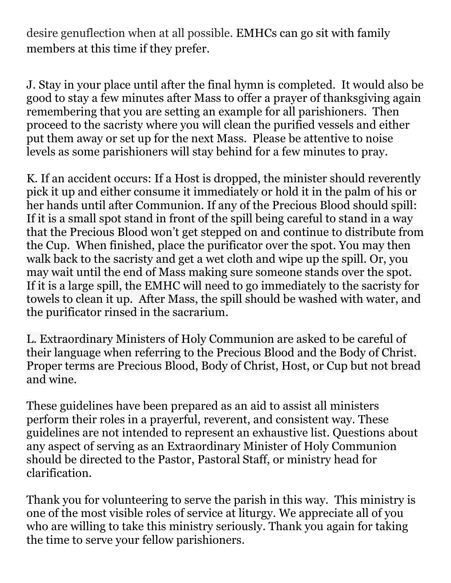desire genuflection when at all possible. EMHCs can go sit with family members at this time if they prefer.

J. Stay in your place until after the final hymn is completed. It would also be good to stay a few minutes after Mass to offer a prayer of thanksgiving again remembering that you are setting an example for all parishioners. Then proceed to the sacristy where you will clean the purified vessels and either put them away or set up for the next Mass. Please be attentive to noise levels as some parishioners will stay behind for a few minutes to pray.

K. If an accident occurs: If a Host is dropped, the minister should reverently pick it up and either consume it immediately or hold it in the palm of his or her hands until after Communion. If any of the Precious Blood should spill: If it is a small spot stand in front of the spill being careful to stand in a way that the Precious Blood won't get stepped on and continue to distribute from the Cup. When finished, place the purificator over the spot. You may then walk back to the sacristy and get a wet cloth and wipe up the spill. Or, you may wait until the end of Mass making sure someone stands over the spot. If it is a large spill, the EMHC will need to go immediately to the sacristy for towels to clean it up. After Mass, the spill should be washed with water, and the purificator rinsed in the sacrarium.

L. Extraordinary Ministers of Holy Communion are asked to be careful of their language when referring to the Precious Blood and the Body of Christ. Proper terms are Precious Blood, Body of Christ, Host, or Cup but not bread and wine.

These guidelines have been prepared as an aid to assist all ministers perform their roles in a prayerful, reverent, and consistent way. These guidelines are not intended to represent an exhaustive list. Questions about any aspect of serving as an Extraordinary Minister of Holy Communion should be directed to the Pastor, Pastoral Staff, or ministry head for clarification.

Thank you for volunteering to serve the parish in this way. This ministry is one of the most visible roles of service at liturgy. We appreciate all of you who are willing to take this ministry seriously. Thank you again for taking the time to serve your fellow parishioners.